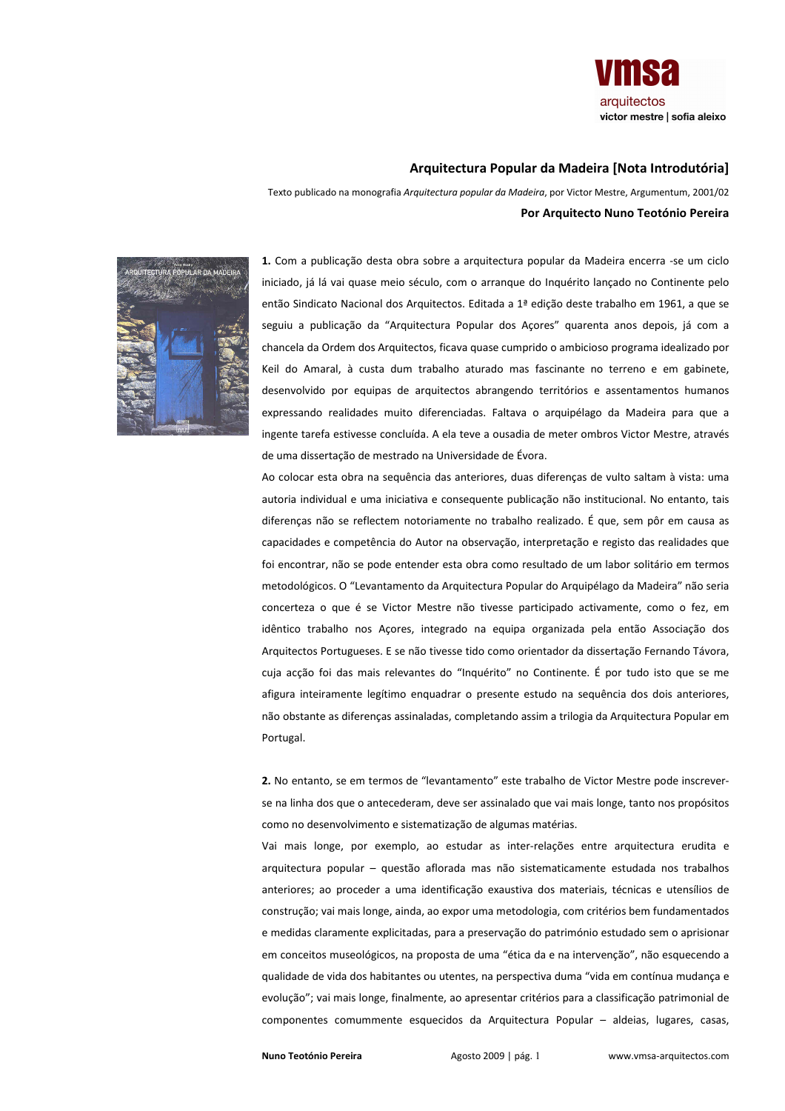

## Arquitectura Popular da Madeira [Nota Introdutória]

Texto publicado na monografia Arquitectura popular da Madeira, por Victor Mestre, Argumentum, 2001/02 Por Arquitecto Nuno Teotónio Pereira



1. Com a publicação desta obra sobre a arquitectura popular da Madeira encerra -se um ciclo iniciado, já lá vai quase meio século, com o arranque do Inquérito lançado no Continente pelo então Sindicato Nacional dos Arquitectos. Editada a 1ª edição deste trabalho em 1961, a que se seguiu a publicação da "Arquitectura Popular dos Açores" quarenta anos depois, já com a chancela da Ordem dos Arquitectos, ficava quase cumprido o ambicioso programa idealizado por Keil do Amaral, à custa dum trabalho aturado mas fascinante no terreno e em gabinete, desenvolvido por equipas de arquitectos abrangendo territórios e assentamentos humanos expressando realidades muito diferenciadas. Faltava o arquipélago da Madeira para que a ingente tarefa estivesse concluída. A ela teve a ousadia de meter ombros Victor Mestre, através de uma dissertação de mestrado na Universidade de Évora.

Ao colocar esta obra na sequência das anteriores, duas diferenças de vulto saltam à vista: uma autoria individual e uma iniciativa e consequente publicação não institucional. No entanto, tais diferenças não se reflectem notoriamente no trabalho realizado. É que, sem pôr em causa as capacidades e competência do Autor na observação, interpretação e registo das realidades que foi encontrar, não se pode entender esta obra como resultado de um labor solitário em termos metodológicos. O "Levantamento da Arquitectura Popular do Arquipélago da Madeira" não seria concerteza o que é se Victor Mestre não tivesse participado activamente, como o fez, em idêntico trabalho nos Acores, integrado na equipa organizada pela então Associação dos Arquitectos Portugueses. E se não tivesse tido como orientador da dissertação Fernando Távora, cuja accão foi das mais relevantes do "Inquérito" no Continente. É por tudo isto que se me afigura inteiramente legítimo enquadrar o presente estudo na sequência dos dois anteriores, não obstante as diferenças assinaladas, completando assim a trilogia da Arquitectura Popular em Portugal.

2. No entanto, se em termos de "levantamento" este trabalho de Victor Mestre pode inscreverse na linha dos que o antecederam, deve ser assinalado que vai mais longe, tanto nos propósitos como no desenvolvimento e sistematização de algumas matérias.

Vai mais longe, por exemplo, ao estudar as inter-relações entre arquitectura erudita e arquitectura popular - questão aflorada mas não sistematicamente estudada nos trabalhos anteriores; ao proceder a uma identificação exaustiva dos materiais, técnicas e utensílios de construção; vai mais longe, ainda, ao expor uma metodologia, com critérios bem fundamentados e medidas claramente explicitadas, para a preservação do património estudado sem o aprisionar em conceitos museológicos, na proposta de uma "ética da e na intervenção", não esquecendo a qualidade de vida dos habitantes ou utentes, na perspectiva duma "vida em contínua mudança e evolução"; vai mais longe, finalmente, ao apresentar critérios para a classificação patrimonial de componentes comummente esquecidos da Arquitectura Popular - aldeias, lugares, casas,